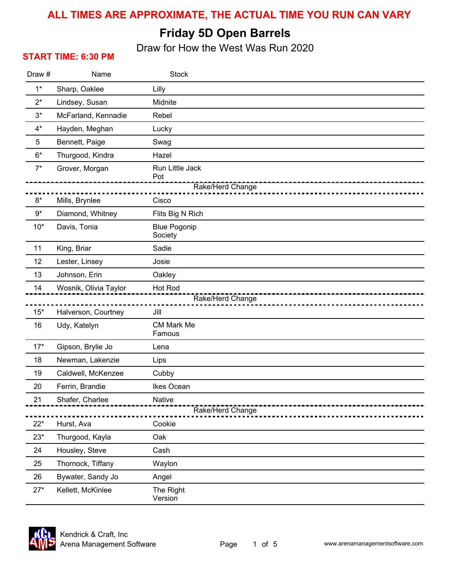#### **ALL TIMES ARE APPROXIMATE, THE ACTUAL TIME YOU RUN CAN VARY**

## **Friday 5D Open Barrels**

Draw for How the West Was Run 2020

#### **START TIME: 6:30 PM**

| Draw# | Name                               | <b>Stock</b>                               |
|-------|------------------------------------|--------------------------------------------|
| $1^*$ | Sharp, Oaklee                      | Lilly                                      |
| $2^*$ | Lindsey, Susan                     | Midnite                                    |
| $3^*$ | McFarland, Kennadie                | Rebel                                      |
| $4^*$ | Hayden, Meghan                     | Lucky                                      |
| 5     | Bennett, Paige                     | Swag                                       |
| $6*$  | Thurgood, Kindra                   | Hazel                                      |
| $7^*$ | Grover, Morgan                     | Run Little Jack<br>Pot<br>Rake/Herd Change |
| $8*$  |                                    | Cisco                                      |
| $9*$  | Mills, Brynlee<br>Diamond, Whitney | Flits Big N Rich                           |
| $10*$ | Davis, Tonia                       | <b>Blue Pogonip</b><br>Society             |
| 11    | King, Briar                        | Sadie                                      |
| 12    | Lester, Linsey                     | Josie                                      |
| 13    | Johnson, Erin                      | Oakley                                     |
| 14    | Wosnik, Olivia Taylor              | Hot Rod                                    |
|       |                                    | Rake/Herd Change                           |
| $15*$ | Halverson, Courtney                | Jill                                       |
| 16    | Udy, Katelyn                       | <b>CM Mark Me</b><br>Famous                |
| $17*$ | Gipson, Brylie Jo                  | Lena                                       |
| 18    | Newman, Lakenzie                   | Lips                                       |
| 19    | Caldwell, McKenzee                 | Cubby                                      |
| 20    | Ferrin, Brandie                    | Ikes Ocean                                 |
| 21    | Shafer, Charlee                    | Native<br>Rake/Herd Change                 |
| $22*$ | Hurst, Ava                         | Cookie                                     |
| $23*$ | Thurgood, Kayla                    | Oak                                        |
| 24    | Housley, Steve                     | Cash                                       |
| 25    | Thornock, Tiffany                  | Waylon                                     |
| 26    | Bywater, Sandy Jo                  | Angel                                      |
| $27*$ | Kellett, McKinlee                  | The Right<br>Version                       |

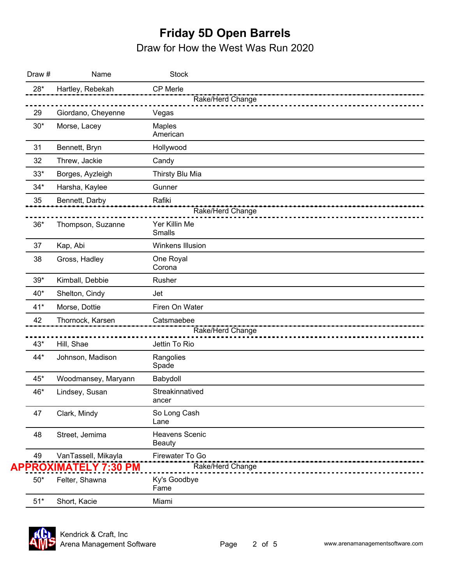# **Friday 5D Open Barrels**

Draw for How the West Was Run 2020

| Draw #       | Name                       | <b>Stock</b>                           |
|--------------|----------------------------|----------------------------------------|
| $28*$        | Hartley, Rebekah           | CP Merle                               |
|              |                            | Rake/Herd Change                       |
| 29           | Giordano, Cheyenne         | Vegas                                  |
| $30*$        | Morse, Lacey               | Maples<br>American                     |
| 31           | Bennett, Bryn              | Hollywood                              |
| 32           | Threw, Jackie              | Candy                                  |
| $33^{\star}$ | Borges, Ayzleigh           | Thirsty Blu Mia                        |
| $34*$        | Harsha, Kaylee             | Gunner                                 |
| 35           | Bennett, Darby             | Rafiki                                 |
|              |                            | Rake/Herd Change                       |
| $36*$        | Thompson, Suzanne          | Yer Killin Me<br><b>Smalls</b>         |
| 37           | Kap, Abi                   | Winkens Illusion                       |
| 38           | Gross, Hadley              | One Royal<br>Corona                    |
| $39*$        | Kimball, Debbie            | Rusher                                 |
| $40*$        | Shelton, Cindy             | Jet                                    |
| $41*$        | Morse, Dottie              | Firen On Water                         |
| 42           | Thornock, Karsen           | Catsmaebee<br>Rake/Herd Change         |
| 43*          | Hill, Shae                 | Jettin To Rio                          |
| $44*$        | Johnson, Madison           | Rangolies<br>Spade                     |
| $45*$        | Woodmansey, Maryann        | Babydoll                               |
| 46*          | Lindsey, Susan             | Streakinnatived<br>ancer               |
| 47           | Clark, Mindy               | So Long Cash<br>Lane                   |
| 48           | Street, Jemima             | <b>Heavens Scenic</b><br><b>Beauty</b> |
| 49           | VanTassell, Mikayla        | Firewater To Go                        |
|              | <u>PROXIMATELY 7:30 PM</u> | Rake/Herd Change                       |
| $50*$        | Felter, Shawna             | Ky's Goodbye<br>Fame                   |
| $51*$        | Short, Kacie               | Miami                                  |

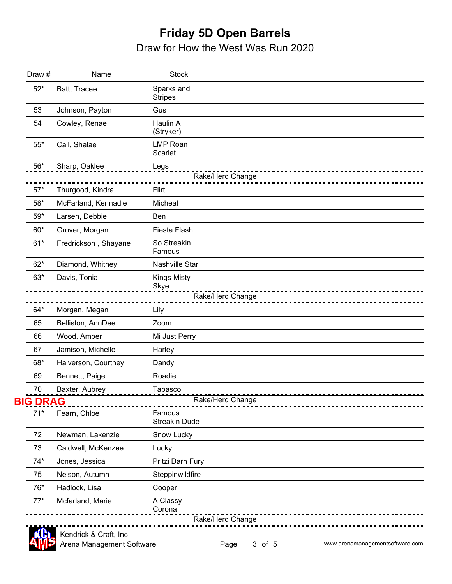### **Friday 5D Open Barrels** Draw for How the West Was Run 2020

| Draw #          | Name                 | <b>Stock</b>                   |
|-----------------|----------------------|--------------------------------|
| $52*$           | Batt, Tracee         | Sparks and<br><b>Stripes</b>   |
| 53              | Johnson, Payton      | Gus                            |
| 54              | Cowley, Renae        | Haulin A<br>(Stryker)          |
| $55*$           | Call, Shalae         | <b>LMP Roan</b><br>Scarlet     |
| $56*$           | Sharp, Oaklee        | Legs                           |
| $57*$           | Thurgood, Kindra     | Rake/Herd Change<br>Flirt      |
| 58*             | McFarland, Kennadie  | Micheal                        |
| 59*             | Larsen, Debbie       | Ben                            |
| $60*$           | Grover, Morgan       | Fiesta Flash                   |
| $61*$           | Fredrickson, Shayane | So Streakin<br>Famous          |
| $62*$           | Diamond, Whitney     | Nashville Star                 |
| $63*$           | Davis, Tonia         | <b>Kings Misty</b><br>Skye     |
|                 |                      | Rake/Herd Change               |
| $64*$           | Morgan, Megan        | Lily                           |
| 65              | Belliston, AnnDee    | Zoom                           |
| 66              | Wood, Amber          | Mi Just Perry                  |
| 67              | Jamison, Michelle    | Harley                         |
| 68*             | Halverson, Courtney  | Dandy                          |
| 69              | Bennett, Paige       | Roadie                         |
| 70              | Baxter, Aubrey       | Tabasco                        |
| <b>BIG DRAG</b> |                      | Rake/Herd Change               |
| $71*$           | Fearn, Chloe         | Famous<br><b>Streakin Dude</b> |
| 72              | Newman, Lakenzie     | Snow Lucky                     |
| 73              | Caldwell, McKenzee   | Lucky                          |
| $74*$           | Jones, Jessica       | Pritzi Darn Fury               |
| 75              | Nelson, Autumn       | Steppinwildfire                |
| 76*             | Hadlock, Lisa        | Cooper                         |
| $77*$           | Mcfarland, Marie     | A Classy<br>Corona             |

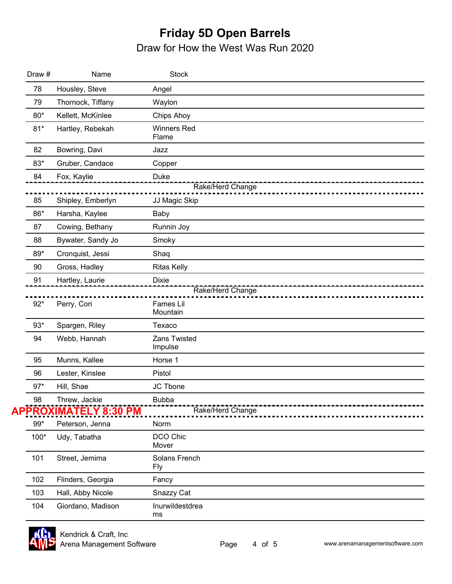## **Friday 5D Open Barrels** Draw for How the West Was Run 2020

| Draw # | Name                         | <b>Stock</b>                |
|--------|------------------------------|-----------------------------|
| 78     | Housley, Steve               | Angel                       |
| 79     | Thornock, Tiffany            | Waylon                      |
| $80*$  | Kellett, McKinlee            | Chips Ahoy                  |
| $81*$  | Hartley, Rebekah             | <b>Winners Red</b><br>Flame |
| 82     | Bowring, Davi                | Jazz                        |
| 83*    | Gruber, Candace              | Copper                      |
| 84     | Fox, Kaylie                  | Duke<br>Rake/Herd Change    |
| 85     | Shipley, Emberlyn            | JJ Magic Skip               |
| 86*    | Harsha, Kaylee               | Baby                        |
| 87     | Cowing, Bethany              | Runnin Joy                  |
| 88     | Bywater, Sandy Jo            | Smoky                       |
| 89*    | Cronquist, Jessi             | Shaq                        |
| 90     | Gross, Hadley                | <b>Ritas Kelly</b>          |
| 91     | Hartley, Laurie              | <b>Dixie</b>                |
|        |                              | Rake/Herd Change            |
| $92*$  | Perry, Cori                  | Fames Lil<br>Mountain       |
| $93*$  | Spargen, Riley               | Texaco                      |
| 94     | Webb, Hannah                 | Zans Twisted<br>Impulse     |
| 95     | Munns, Kallee                | Horse 1                     |
| 96     | Lester, Kinslee              | Pistol                      |
| $97*$  | Hill, Shae                   | JC Tbone                    |
| 98     | Threw, Jackie                | <b>Bubba</b>                |
|        | <b>APPROXIMATELY 8:30 PM</b> | Rake/Herd Change            |
| $99*$  | Peterson, Jenna              | Norm                        |
| 100*   | Udy, Tabatha                 | DCO Chic<br>Mover           |
| 101    | Street, Jemima               | Solans French<br>Fly        |
| 102    | Flinders, Georgia            | Fancy                       |
| 103    | Hall, Abby Nicole            | Snazzy Cat                  |
| 104    | Giordano, Madison            | Inurwildestdrea<br>ms       |